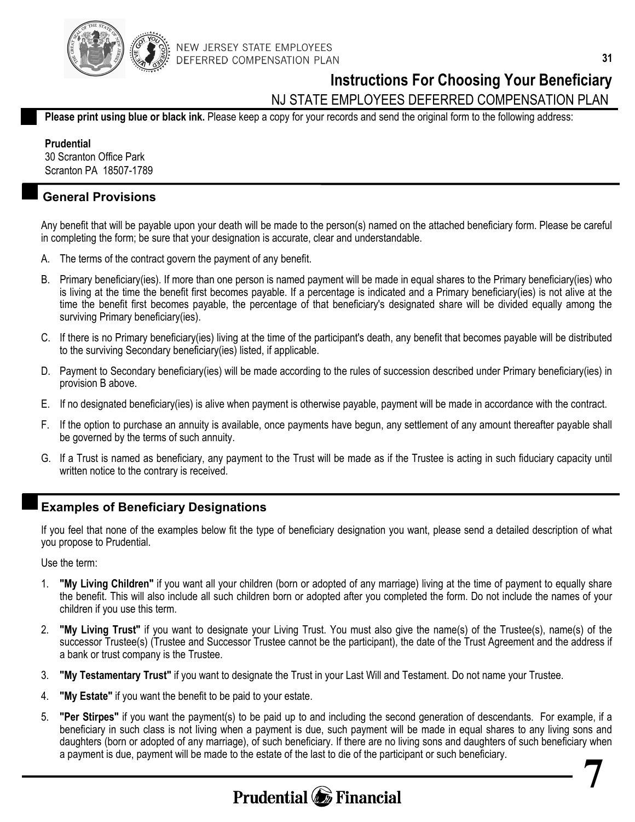

### **Instructions For Choosing Your Beneficiary**

NJ STATE EMPLOYEES DEFERRED COMPENSATION PLAN

**Please print using blue or black ink.** Please keep a copy for your records and send the original form to the following address:

**Prudential** 

30 Scranton Office Park Scranton PA 18507-1789

### **General Provisions**

Any benefit that will be payable upon your death will be made to the person(s) named on the attached beneficiary form. Please be careful in completing the form; be sure that your designation is accurate, clear and understandable.

- A. The terms of the contract govern the payment of any benefit.
- B. Primary beneficiary(ies). If more than one person is named payment will be made in equal shares to the Primary beneficiary(ies) who is living at the time the benefit first becomes payable. If a percentage is indicated and a Primary beneficiary(ies) is not alive at the time the benefit first becomes payable, the percentage of that beneficiary's designated share will be divided equally among the surviving Primary beneficiary(ies).
- C. If there is no Primary beneficiary(ies) living at the time of the participant's death, any benefit that becomes payable will be distributed to the surviving Secondary beneficiary(ies) listed, if applicable.
- D. Payment to Secondary beneficiary(ies) will be made according to the rules of succession described under Primary beneficiary(ies) in provision B above.
- E. If no designated beneficiary(ies) is alive when payment is otherwise payable, payment will be made in accordance with the contract.
- F. If the option to purchase an annuity is available, once payments have begun, any settlement of any amount thereafter payable shall be governed by the terms of such annuity.
- G. If a Trust is named as beneficiary, any payment to the Trust will be made as if the Trustee is acting in such fiduciary capacity until written notice to the contrary is received.

#### **Examples of Beneficiary Designations**

If you feel that none of the examples below fit the type of beneficiary designation you want, please send a detailed description of what you propose to Prudential.

Use the term:

- 1. **"My Living Children"** if you want all your children (born or adopted of any marriage) living at the time of payment to equally share the benefit. This will also include all such children born or adopted after you completed the form. Do not include the names of your children if you use this term.
- 2. **"My Living Trust"** if you want to designate your Living Trust. You must also give the name(s) of the Trustee(s), name(s) of the successor Trustee(s) (Trustee and Successor Trustee cannot be the participant), the date of the Trust Agreement and the address if a bank or trust company is the Trustee.
- 3. **"My Testamentary Trust"** if you want to designate the Trust in your Last Will and Testament. Do not name your Trustee.
- 4. **"My Estate"** if you want the benefit to be paid to your estate.
- 5. **"Per Stirpes"** if you want the payment(s) to be paid up to and including the second generation of descendants. For example, if a beneficiary in such class is not living when a payment is due, such payment will be made in equal shares to any living sons and daughters (born or adopted of any marriage), of such beneficiary. If there are no living sons and daughters of such beneficiary when a payment is due, payment will be made to the estate of the last to die of the participant or such beneficiary. **7**